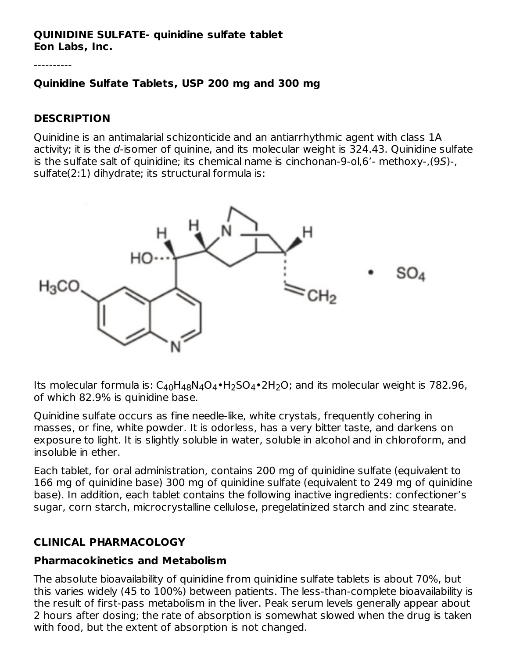#### **QUINIDINE SULFATE- quinidine sulfate tablet Eon Labs, Inc.**

----------

#### **Quinidine Sulfate Tablets, USP 200 mg and 300 mg**

#### **DESCRIPTION**

Quinidine is an antimalarial schizonticide and an antiarrhythmic agent with class 1A activity; it is the  $d$ -isomer of quinine, and its molecular weight is  $324.43$ . Quinidine sulfate is the sulfate salt of quinidine; its chemical name is cinchonan-9-ol,6'- methoxy-,(9S)-, sulfate(2:1) dihydrate; its structural formula is:



Its molecular formula is:  $C_{40}H_{48}N_4O_4\bullet H_2SO_4\bullet 2H_2O$ ; and its molecular weight is 782.96, of which 82.9% is quinidine base.

Quinidine sulfate occurs as fine needle-like, white crystals, frequently cohering in masses, or fine, white powder. It is odorless, has a very bitter taste, and darkens on exposure to light. It is slightly soluble in water, soluble in alcohol and in chloroform, and insoluble in ether.

Each tablet, for oral administration, contains 200 mg of quinidine sulfate (equivalent to 166 mg of quinidine base) 300 mg of quinidine sulfate (equivalent to 249 mg of quinidine base). In addition, each tablet contains the following inactive ingredients: confectioner's sugar, corn starch, microcrystalline cellulose, pregelatinized starch and zinc stearate.

#### **CLINICAL PHARMACOLOGY**

#### **Pharmacokinetics and Metabolism**

The absolute bioavailability of quinidine from quinidine sulfate tablets is about 70%, but this varies widely (45 to 100%) between patients. The less-than-complete bioavailability is the result of first-pass metabolism in the liver. Peak serum levels generally appear about 2 hours after dosing; the rate of absorption is somewhat slowed when the drug is taken with food, but the extent of absorption is not changed.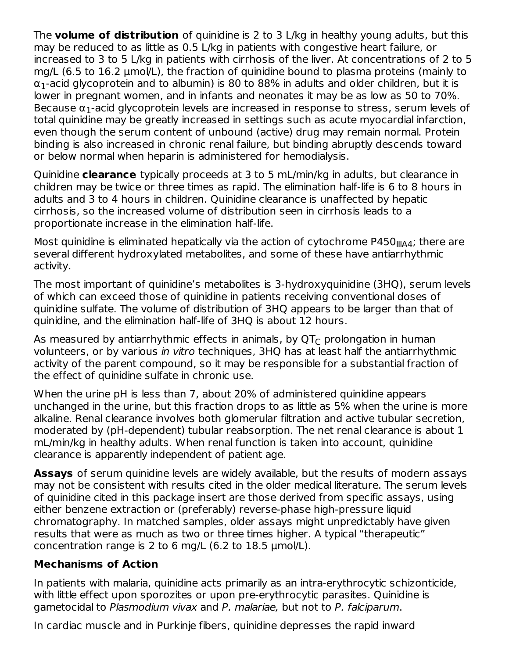The **volume of distribution** of quinidine is 2 to 3 L/kg in healthy young adults, but this may be reduced to as little as 0.5 L/kg in patients with congestive heart failure, or increased to 3 to 5 L/kg in patients with cirrhosis of the liver. At concentrations of 2 to 5 mg/L (6.5 to 16.2 μmol/L), the fraction of quinidine bound to plasma proteins (mainly to  $\alpha_1$ -acid glycoprotein and to albumin) is 80 to 88% in adults and older children, but it is lower in pregnant women, and in infants and neonates it may be as low as 50 to 70%. Because  $\alpha_1$ -acid glycoprotein levels are increased in response to stress, serum levels of total quinidine may be greatly increased in settings such as acute myocardial infarction, even though the serum content of unbound (active) drug may remain normal. Protein binding is also increased in chronic renal failure, but binding abruptly descends toward or below normal when heparin is administered for hemodialysis.

Quinidine **clearance** typically proceeds at 3 to 5 mL/min/kg in adults, but clearance in children may be twice or three times as rapid. The elimination half-life is 6 to 8 hours in adults and 3 to 4 hours in children. Quinidine clearance is unaffected by hepatic cirrhosis, so the increased volume of distribution seen in cirrhosis leads to a proportionate increase in the elimination half-life.

Most quinidine is eliminated hepatically via the action of cytochrome <code>P450</code><sub>IIIA4</sub>; there are several different hydroxylated metabolites, and some of these have antiarrhythmic activity.

The most important of quinidine's metabolites is 3-hydroxyquinidine (3HQ), serum levels of which can exceed those of quinidine in patients receiving conventional doses of quinidine sulfate. The volume of distribution of 3HQ appears to be larger than that of quinidine, and the elimination half-life of 3HQ is about 12 hours.

As measured by antiarrhythmic effects in animals, by QT $_{\rm C}$  prolongation in human volunteers, or by various in vitro techniques, 3HQ has at least half the antiarrhythmic activity of the parent compound, so it may be responsible for a substantial fraction of the effect of quinidine sulfate in chronic use.

When the urine pH is less than 7, about 20% of administered quinidine appears unchanged in the urine, but this fraction drops to as little as 5% when the urine is more alkaline. Renal clearance involves both glomerular filtration and active tubular secretion, moderated by (pH-dependent) tubular reabsorption. The net renal clearance is about 1 mL/min/kg in healthy adults. When renal function is taken into account, quinidine clearance is apparently independent of patient age.

**Assays** of serum quinidine levels are widely available, but the results of modern assays may not be consistent with results cited in the older medical literature. The serum levels of quinidine cited in this package insert are those derived from specific assays, using either benzene extraction or (preferably) reverse-phase high-pressure liquid chromatography. In matched samples, older assays might unpredictably have given results that were as much as two or three times higher. A typical "therapeutic" concentration range is 2 to 6 mg/L (6.2 to 18.5 μmol/L).

#### **Mechanisms of Action**

In patients with malaria, quinidine acts primarily as an intra-erythrocytic schizonticide, with little effect upon sporozites or upon pre-erythrocytic parasites. Quinidine is gametocidal to Plasmodium vivax and P. malariae, but not to P. falciparum.

In cardiac muscle and in Purkinje fibers, quinidine depresses the rapid inward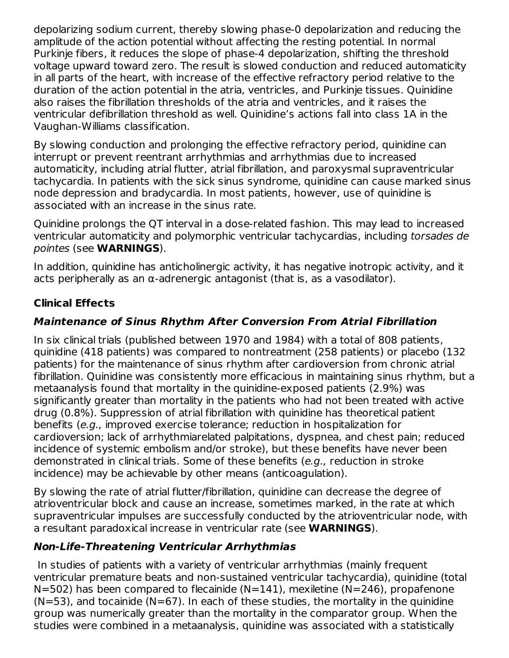depolarizing sodium current, thereby slowing phase-0 depolarization and reducing the amplitude of the action potential without affecting the resting potential. In normal Purkinje fibers, it reduces the slope of phase-4 depolarization, shifting the threshold voltage upward toward zero. The result is slowed conduction and reduced automaticity in all parts of the heart, with increase of the effective refractory period relative to the duration of the action potential in the atria, ventricles, and Purkinje tissues. Quinidine also raises the fibrillation thresholds of the atria and ventricles, and it raises the ventricular defibrillation threshold as well. Quinidine's actions fall into class 1A in the Vaughan-Williams classification.

By slowing conduction and prolonging the effective refractory period, quinidine can interrupt or prevent reentrant arrhythmias and arrhythmias due to increased automaticity, including atrial flutter, atrial fibrillation, and paroxysmal supraventricular tachycardia. In patients with the sick sinus syndrome, quinidine can cause marked sinus node depression and bradycardia. In most patients, however, use of quinidine is associated with an increase in the sinus rate.

Quinidine prolongs the QT interval in a dose-related fashion. This may lead to increased ventricular automaticity and polymorphic ventricular tachycardias, including torsades de pointes (see **WARNINGS**).

In addition, quinidine has anticholinergic activity, it has negative inotropic activity, and it acts peripherally as an  $\alpha$ -adrenergic antagonist (that is, as a vasodilator).

## **Clinical Effects**

### **Maintenance of Sinus Rhythm After Conversion From Atrial Fibrillation**

In six clinical trials (published between 1970 and 1984) with a total of 808 patients, quinidine (418 patients) was compared to nontreatment (258 patients) or placebo (132 patients) for the maintenance of sinus rhythm after cardioversion from chronic atrial fibrillation. Quinidine was consistently more efficacious in maintaining sinus rhythm, but a metaanalysis found that mortality in the quinidine-exposed patients (2.9%) was significantly greater than mortality in the patients who had not been treated with active drug (0.8%). Suppression of atrial fibrillation with quinidine has theoretical patient benefits (e.g., improved exercise tolerance; reduction in hospitalization for cardioversion; lack of arrhythmiarelated palpitations, dyspnea, and chest pain; reduced incidence of systemic embolism and/or stroke), but these benefits have never been demonstrated in clinical trials. Some of these benefits (e.g., reduction in stroke incidence) may be achievable by other means (anticoagulation).

By slowing the rate of atrial flutter/fibrillation, quinidine can decrease the degree of atrioventricular block and cause an increase, sometimes marked, in the rate at which supraventricular impulses are successfully conducted by the atrioventricular node, with a resultant paradoxical increase in ventricular rate (see **WARNINGS**).

### **Non-Life-Threatening Ventricular Arrhythmias**

In studies of patients with a variety of ventricular arrhythmias (mainly frequent ventricular premature beats and non-sustained ventricular tachycardia), quinidine (total  $N=502$ ) has been compared to flecainide (N=141), mexiletine (N=246), propafenone  $(N=53)$ , and tocainide  $(N=67)$ . In each of these studies, the mortality in the quinidine group was numerically greater than the mortality in the comparator group. When the studies were combined in a metaanalysis, quinidine was associated with a statistically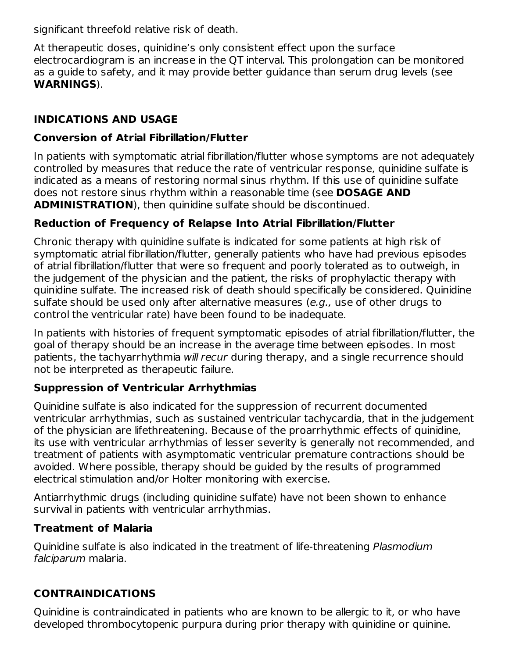significant threefold relative risk of death.

At therapeutic doses, quinidine's only consistent effect upon the surface electrocardiogram is an increase in the QT interval. This prolongation can be monitored as a guide to safety, and it may provide better guidance than serum drug levels (see **WARNINGS**).

### **INDICATIONS AND USAGE**

#### **Conversion of Atrial Fibrillation/Flutter**

In patients with symptomatic atrial fibrillation/flutter whose symptoms are not adequately controlled by measures that reduce the rate of ventricular response, quinidine sulfate is indicated as a means of restoring normal sinus rhythm. If this use of quinidine sulfate does not restore sinus rhythm within a reasonable time (see **DOSAGE AND ADMINISTRATION**), then quinidine sulfate should be discontinued.

### **Reduction of Frequency of Relapse Into Atrial Fibrillation/Flutter**

Chronic therapy with quinidine sulfate is indicated for some patients at high risk of symptomatic atrial fibrillation/flutter, generally patients who have had previous episodes of atrial fibrillation/flutter that were so frequent and poorly tolerated as to outweigh, in the judgement of the physician and the patient, the risks of prophylactic therapy with quinidine sulfate. The increased risk of death should specifically be considered. Quinidine sulfate should be used only after alternative measures (e.g., use of other drugs to control the ventricular rate) have been found to be inadequate.

In patients with histories of frequent symptomatic episodes of atrial fibrillation/flutter, the goal of therapy should be an increase in the average time between episodes. In most patients, the tachyarrhythmia will recur during therapy, and a single recurrence should not be interpreted as therapeutic failure.

### **Suppression of Ventricular Arrhythmias**

Quinidine sulfate is also indicated for the suppression of recurrent documented ventricular arrhythmias, such as sustained ventricular tachycardia, that in the judgement of the physician are lifethreatening. Because of the proarrhythmic effects of quinidine, its use with ventricular arrhythmias of lesser severity is generally not recommended, and treatment of patients with asymptomatic ventricular premature contractions should be avoided. Where possible, therapy should be guided by the results of programmed electrical stimulation and/or Holter monitoring with exercise.

Antiarrhythmic drugs (including quinidine sulfate) have not been shown to enhance survival in patients with ventricular arrhythmias.

### **Treatment of Malaria**

Quinidine sulfate is also indicated in the treatment of life-threatening Plasmodium falciparum malaria.

## **CONTRAINDICATIONS**

Quinidine is contraindicated in patients who are known to be allergic to it, or who have developed thrombocytopenic purpura during prior therapy with quinidine or quinine.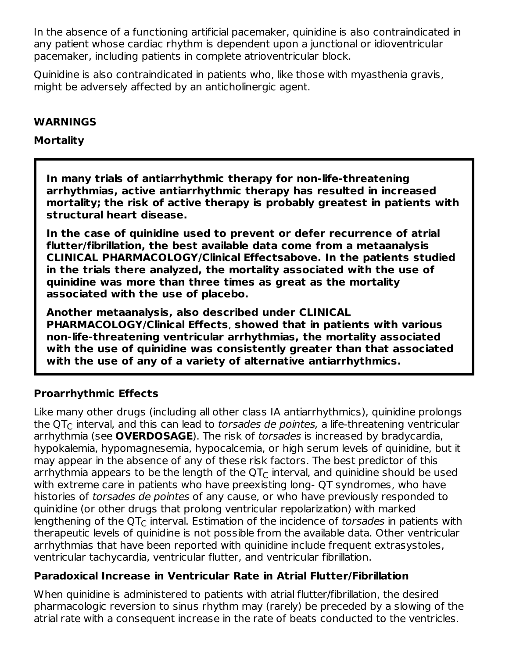In the absence of a functioning artificial pacemaker, quinidine is also contraindicated in any patient whose cardiac rhythm is dependent upon a junctional or idioventricular pacemaker, including patients in complete atrioventricular block.

Quinidine is also contraindicated in patients who, like those with myasthenia gravis, might be adversely affected by an anticholinergic agent.

#### **WARNINGS**

#### **Mortality**

**In many trials of antiarrhythmic therapy for non-life-threatening arrhythmias, active antiarrhythmic therapy has resulted in increased mortality; the risk of active therapy is probably greatest in patients with structural heart disease.**

**In the case of quinidine used to prevent or defer recurrence of atrial flutter/fibrillation, the best available data come from a metaanalysis CLINICAL PHARMACOLOGY/Clinical Effectsabove. In the patients studied in the trials there analyzed, the mortality associated with the use of quinidine was more than three times as great as the mortality associated with the use of placebo.**

**Another metaanalysis, also described under CLINICAL PHARMACOLOGY/Clinical Effects**, **showed that in patients with various non-life-threatening ventricular arrhythmias, the mortality associated with the use of quinidine was consistently greater than that associated with the use of any of a variety of alternative antiarrhythmics.**

### **Proarrhythmic Effects**

Like many other drugs (including all other class IA antiarrhythmics), quinidine prolongs the QT $_{\mathsf C}$  interval, and this can lead to *torsades de pointes,* a life-threatening ventricular arrhythmia (see **OVERDOSAGE**). The risk of torsades is increased by bradycardia, hypokalemia, hypomagnesemia, hypocalcemia, or high serum levels of quinidine, but it may appear in the absence of any of these risk factors. The best predictor of this arrhythmia appears to be the length of the QT $_{\rm C}$  interval, and quinidine should be used with extreme care in patients who have preexisting long- QT syndromes, who have histories of torsades de pointes of any cause, or who have previously responded to quinidine (or other drugs that prolong ventricular repolarization) with marked lengthening of the QT $_{\rm C}$  interval. Estimation of the incidence of *torsades* in patients with therapeutic levels of quinidine is not possible from the available data. Other ventricular arrhythmias that have been reported with quinidine include frequent extrasystoles, ventricular tachycardia, ventricular flutter, and ventricular fibrillation.

### **Paradoxical Increase in Ventricular Rate in Atrial Flutter/Fibrillation**

When quinidine is administered to patients with atrial flutter/fibrillation, the desired pharmacologic reversion to sinus rhythm may (rarely) be preceded by a slowing of the atrial rate with a consequent increase in the rate of beats conducted to the ventricles.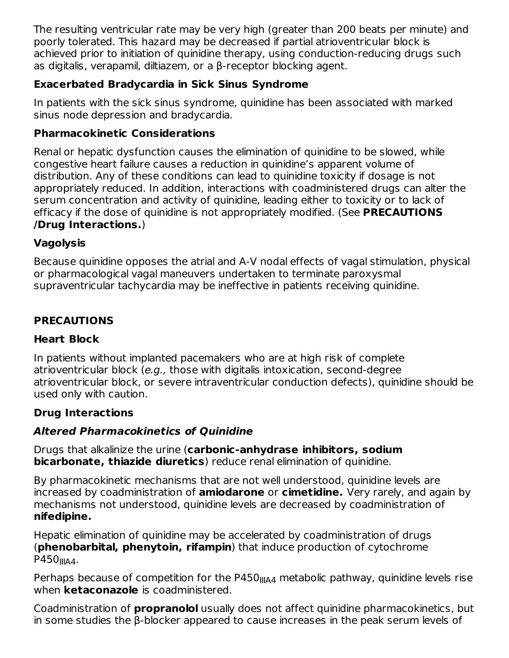The resulting ventricular rate may be very high (greater than 200 beats per minute) and poorly tolerated. This hazard may be decreased if partial atrioventricular block is achieved prior to initiation of quinidine therapy, using conduction-reducing drugs such as digitalis, verapamil, diltiazem, or a β-receptor blocking agent.

## **Exacerbated Bradycardia in Sick Sinus Syndrome**

In patients with the sick sinus syndrome, quinidine has been associated with marked sinus node depression and bradycardia.

### **Pharmacokinetic Considerations**

Renal or hepatic dysfunction causes the elimination of quinidine to be slowed, while congestive heart failure causes a reduction in quinidine's apparent volume of distribution. Any of these conditions can lead to quinidine toxicity if dosage is not appropriately reduced. In addition, interactions with coadministered drugs can alter the serum concentration and activity of quinidine, leading either to toxicity or to lack of efficacy if the dose of quinidine is not appropriately modified. (See **PRECAUTIONS /Drug Interactions.**)

## **Vagolysis**

Because quinidine opposes the atrial and A-V nodal effects of vagal stimulation, physical or pharmacological vagal maneuvers undertaken to terminate paroxysmal supraventricular tachycardia may be ineffective in patients receiving quinidine.

# **PRECAUTIONS**

## **Heart Block**

In patients without implanted pacemakers who are at high risk of complete atrioventricular block (e.g., those with digitalis intoxication, second-degree atrioventricular block, or severe intraventricular conduction defects), quinidine should be used only with caution.

### **Drug Interactions**

## **Altered Pharmacokinetics of Quinidine**

Drugs that alkalinize the urine (**carbonic-anhydrase inhibitors, sodium bicarbonate, thiazide diuretics**) reduce renal elimination of quinidine.

By pharmacokinetic mechanisms that are not well understood, quinidine levels are increased by coadministration of **amiodarone** or **cimetidine.** Very rarely, and again by mechanisms not understood, quinidine levels are decreased by coadministration of **nifedipine.**

Hepatic elimination of quinidine may be accelerated by coadministration of drugs (**phenobarbital, phenytoin, rifampin**) that induce production of cytochrome P450<sub>IIIA4</sub>.

Perhaps because of competition for the P450 $_{\rm IIIAA}$  metabolic pathway, quinidine levels rise when **ketaconazole** is coadministered.

Coadministration of **propranolol** usually does not affect quinidine pharmacokinetics, but in some studies the β-blocker appeared to cause increases in the peak serum levels of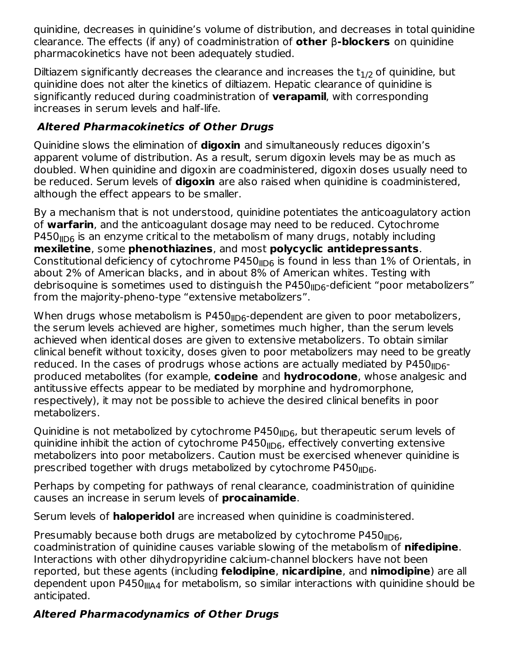quinidine, decreases in quinidine's volume of distribution, and decreases in total quinidine clearance. The effects (if any) of coadministration of **other** β**-blockers** on quinidine pharmacokinetics have not been adequately studied.

Diltiazem significantly decreases the clearance and increases the  $t_{1/2}$  of quinidine, but quinidine does not alter the kinetics of diltiazem. Hepatic clearance of quinidine is significantly reduced during coadministration of **verapamil**, with corresponding increases in serum levels and half-life.

## **Altered Pharmacokinetics of Other Drugs**

Quinidine slows the elimination of **digoxin** and simultaneously reduces digoxin's apparent volume of distribution. As a result, serum digoxin levels may be as much as doubled. When quinidine and digoxin are coadministered, digoxin doses usually need to be reduced. Serum levels of **digoxin** are also raised when quinidine is coadministered, although the effect appears to be smaller.

By a mechanism that is not understood, quinidine potentiates the anticoagulatory action of **warfarin**, and the anticoagulant dosage may need to be reduced. Cytochrome <code>P450</code><sub>llD6</sub> is an enzyme critical to the metabolism of many drugs, notably including **mexiletine**, some **phenothiazines**, and most **polycyclic antidepressants**. Constitutional deficiency of cytochrome P450 $_{\parallel\text{D6}}$  is found in less than  $1\%$  of Orientals, in about 2% of American blacks, and in about 8% of American whites. Testing with debrisoquine is sometimes used to distinguish the P450<sub>IID6</sub>-deficient "poor metabolizers" from the majority-pheno-type "extensive metabolizers".

When drugs whose metabolism is P450 $_{\sf IID6}$ -dependent are given to poor metabolizers, the serum levels achieved are higher, sometimes much higher, than the serum levels achieved when identical doses are given to extensive metabolizers. To obtain similar clinical benefit without toxicity, doses given to poor metabolizers may need to be greatly reduced. In the cases of prodrugs whose actions are actually mediated by <code>P450</code><sub>llD6</sub>produced metabolites (for example, **codeine** and **hydrocodone**, whose analgesic and antitussive effects appear to be mediated by morphine and hydromorphone, respectively), it may not be possible to achieve the desired clinical benefits in poor metabolizers.

Quinidine is not metabolized by cytochrome P450<sub>IID6</sub>, but therapeutic serum levels of quinidine inhibit the action of cytochrome P450<sub>IID6</sub>, effectively converting extensive metabolizers into poor metabolizers. Caution must be exercised whenever quinidine is prescribed together with drugs metabolized by cytochrome P450 $_{\rm{HDG}}$ .

Perhaps by competing for pathways of renal clearance, coadministration of quinidine causes an increase in serum levels of **procainamide**.

Serum levels of **haloperidol** are increased when quinidine is coadministered.

Presumably because both drugs are metabolized by cytochrome P450 $_{\rm{HDG}}$ , coadministration of quinidine causes variable slowing of the metabolism of **nifedipine**. Interactions with other dihydropyridine calcium-channel blockers have not been reported, but these agents (including **felodipine**, **nicardipine**, and **nimodipine**) are all dependent upon P450<sub>IIIA4</sub> for metabolism, so similar interactions with quinidine should be anticipated.

## **Altered Pharmacodynamics of Other Drugs**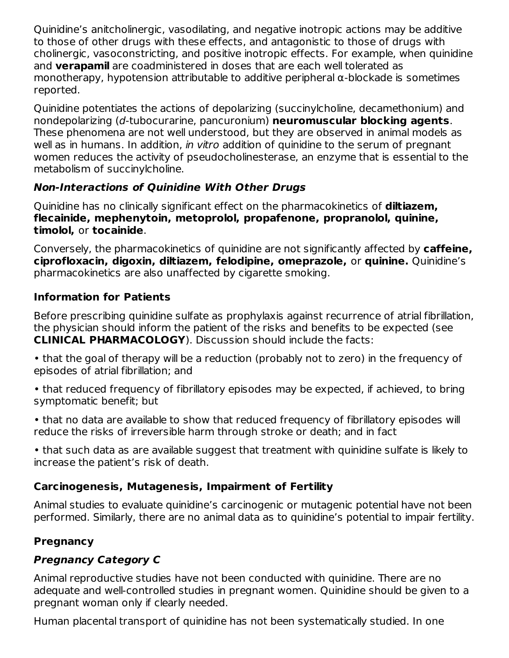Quinidine's anitcholinergic, vasodilating, and negative inotropic actions may be additive to those of other drugs with these effects, and antagonistic to those of drugs with cholinergic, vasoconstricting, and positive inotropic effects. For example, when quinidine and **verapamil** are coadministered in doses that are each well tolerated as monotherapy, hypotension attributable to additive peripheral α-blockade is sometimes reported.

Quinidine potentiates the actions of depolarizing (succinylcholine, decamethonium) and nondepolarizing (d-tubocurarine, pancuronium) **neuromuscular blocking agents**. These phenomena are not well understood, but they are observed in animal models as well as in humans. In addition, in vitro addition of quinidine to the serum of pregnant women reduces the activity of pseudocholinesterase, an enzyme that is essential to the metabolism of succinylcholine.

# **Non-Interactions of Quinidine With Other Drugs**

Quinidine has no clinically significant effect on the pharmacokinetics of **diltiazem, flecainide, mephenytoin, metoprolol, propafenone, propranolol, quinine, timolol,** or **tocainide**.

Conversely, the pharmacokinetics of quinidine are not significantly affected by **caffeine, ciprofloxacin, digoxin, diltiazem, felodipine, omeprazole,** or **quinine.** Quinidine's pharmacokinetics are also unaffected by cigarette smoking.

# **Information for Patients**

Before prescribing quinidine sulfate as prophylaxis against recurrence of atrial fibrillation, the physician should inform the patient of the risks and benefits to be expected (see **CLINICAL PHARMACOLOGY**). Discussion should include the facts:

- that the goal of therapy will be a reduction (probably not to zero) in the frequency of episodes of atrial fibrillation; and
- that reduced frequency of fibrillatory episodes may be expected, if achieved, to bring symptomatic benefit; but
- that no data are available to show that reduced frequency of fibrillatory episodes will reduce the risks of irreversible harm through stroke or death; and in fact

• that such data as are available suggest that treatment with quinidine sulfate is likely to increase the patient's risk of death.

## **Carcinogenesis, Mutagenesis, Impairment of Fertility**

Animal studies to evaluate quinidine's carcinogenic or mutagenic potential have not been performed. Similarly, there are no animal data as to quinidine's potential to impair fertility.

# **Pregnancy**

# **Pregnancy Category C**

Animal reproductive studies have not been conducted with quinidine. There are no adequate and well-controlled studies in pregnant women. Quinidine should be given to a pregnant woman only if clearly needed.

Human placental transport of quinidine has not been systematically studied. In one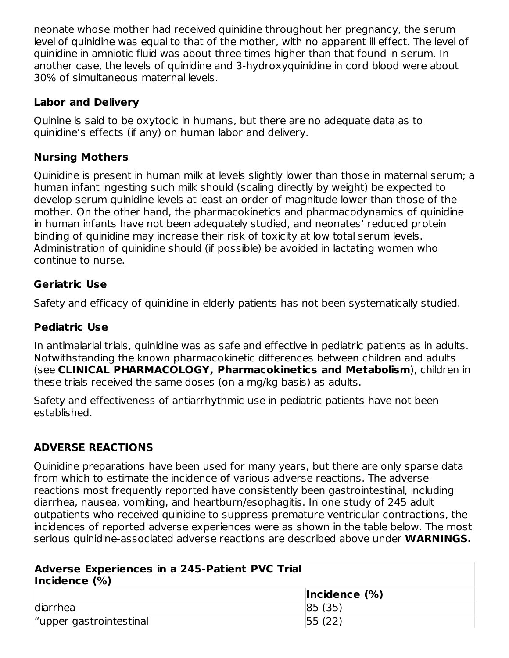neonate whose mother had received quinidine throughout her pregnancy, the serum level of quinidine was equal to that of the mother, with no apparent ill effect. The level of quinidine in amniotic fluid was about three times higher than that found in serum. In another case, the levels of quinidine and 3-hydroxyquinidine in cord blood were about 30% of simultaneous maternal levels.

### **Labor and Delivery**

Quinine is said to be oxytocic in humans, but there are no adequate data as to quinidine's effects (if any) on human labor and delivery.

### **Nursing Mothers**

Quinidine is present in human milk at levels slightly lower than those in maternal serum; a human infant ingesting such milk should (scaling directly by weight) be expected to develop serum quinidine levels at least an order of magnitude lower than those of the mother. On the other hand, the pharmacokinetics and pharmacodynamics of quinidine in human infants have not been adequately studied, and neonates' reduced protein binding of quinidine may increase their risk of toxicity at low total serum levels. Administration of quinidine should (if possible) be avoided in lactating women who continue to nurse.

### **Geriatric Use**

Safety and efficacy of quinidine in elderly patients has not been systematically studied.

### **Pediatric Use**

In antimalarial trials, quinidine was as safe and effective in pediatric patients as in adults. Notwithstanding the known pharmacokinetic differences between children and adults (see **CLINICAL PHARMACOLOGY, Pharmacokinetics and Metabolism**), children in these trials received the same doses (on a mg/kg basis) as adults.

Safety and effectiveness of antiarrhythmic use in pediatric patients have not been established.

## **ADVERSE REACTIONS**

Quinidine preparations have been used for many years, but there are only sparse data from which to estimate the incidence of various adverse reactions. The adverse reactions most frequently reported have consistently been gastrointestinal, including diarrhea, nausea, vomiting, and heartburn/esophagitis. In one study of 245 adult outpatients who received quinidine to suppress premature ventricular contractions, the incidences of reported adverse experiences were as shown in the table below. The most serious quinidine-associated adverse reactions are described above under **WARNINGS.**

| Adverse Experiences in a 245-Patient PVC Trial<br>Incidence $(\%)$ |                      |  |  |
|--------------------------------------------------------------------|----------------------|--|--|
|                                                                    | $ $ Incidence $(\%)$ |  |  |
| diarrhea                                                           | 85(35)               |  |  |
| "upper gastrointestinal                                            | 55(22)               |  |  |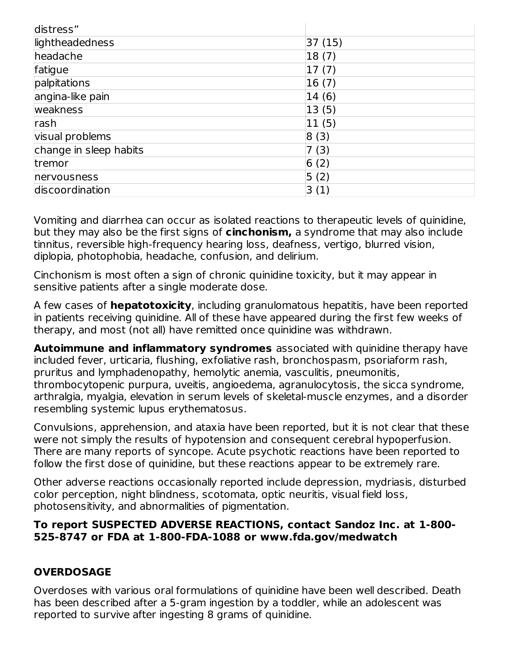| distress"              |        |
|------------------------|--------|
| lightheadedness        | 37(15) |
| headache               | 18(7)  |
| fatigue                | 17(7)  |
| palpitations           | 16(7)  |
| angina-like pain       | 14(6)  |
| weakness               | 13(5)  |
| rash                   | 11(5)  |
| visual problems        | 8(3)   |
| change in sleep habits | 7(3)   |
| tremor                 | 6(2)   |
| nervousness            | 5(2)   |
| discoordination        | 3(1)   |

Vomiting and diarrhea can occur as isolated reactions to therapeutic levels of quinidine, but they may also be the first signs of **cinchonism,** a syndrome that may also include tinnitus, reversible high-frequency hearing loss, deafness, vertigo, blurred vision, diplopia, photophobia, headache, confusion, and delirium.

Cinchonism is most often a sign of chronic quinidine toxicity, but it may appear in sensitive patients after a single moderate dose.

A few cases of **hepatotoxicity**, including granulomatous hepatitis, have been reported in patients receiving quinidine. All of these have appeared during the first few weeks of therapy, and most (not all) have remitted once quinidine was withdrawn.

**Autoimmune and inflammatory syndromes** associated with quinidine therapy have included fever, urticaria, flushing, exfoliative rash, bronchospasm, psoriaform rash, pruritus and lymphadenopathy, hemolytic anemia, vasculitis, pneumonitis, thrombocytopenic purpura, uveitis, angioedema, agranulocytosis, the sicca syndrome, arthralgia, myalgia, elevation in serum levels of skeletal-muscle enzymes, and a disorder resembling systemic lupus erythematosus.

Convulsions, apprehension, and ataxia have been reported, but it is not clear that these were not simply the results of hypotension and consequent cerebral hypoperfusion. There are many reports of syncope. Acute psychotic reactions have been reported to follow the first dose of quinidine, but these reactions appear to be extremely rare.

Other adverse reactions occasionally reported include depression, mydriasis, disturbed color perception, night blindness, scotomata, optic neuritis, visual field loss, photosensitivity, and abnormalities of pigmentation.

#### **To report SUSPECTED ADVERSE REACTIONS, contact Sandoz Inc. at 1-800- 525-8747 or FDA at 1-800-FDA-1088 or www.fda.gov/medwatch**

## **OVERDOSAGE**

Overdoses with various oral formulations of quinidine have been well described. Death has been described after a 5-gram ingestion by a toddler, while an adolescent was reported to survive after ingesting 8 grams of quinidine.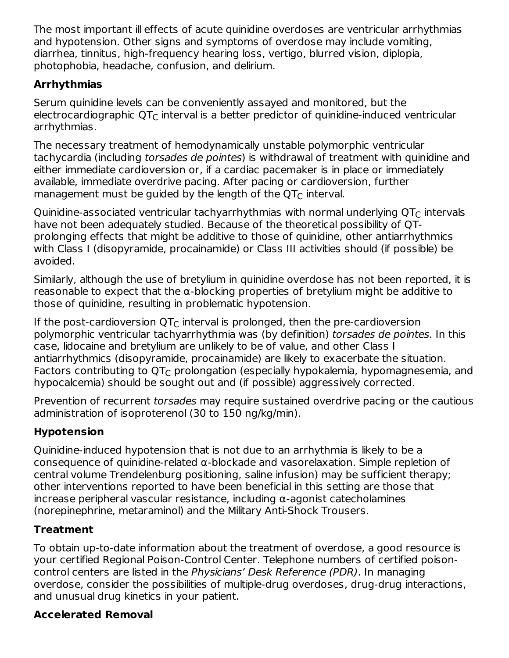The most important ill effects of acute quinidine overdoses are ventricular arrhythmias and hypotension. Other signs and symptoms of overdose may include vomiting, diarrhea, tinnitus, high-frequency hearing loss, vertigo, blurred vision, diplopia, photophobia, headache, confusion, and delirium.

# **Arrhythmias**

Serum quinidine levels can be conveniently assayed and monitored, but the electrocardiographic QT $_{\sf C}$  interval is a better predictor of quinidine-induced ventricular arrhythmias.

The necessary treatment of hemodynamically unstable polymorphic ventricular tachycardia (including torsades de pointes) is withdrawal of treatment with quinidine and either immediate cardioversion or, if a cardiac pacemaker is in place or immediately available, immediate overdrive pacing. After pacing or cardioversion, further management must be guided by the length of the QT $_{\rm C}$  interval.

Quinidine-associated ventricular tachyarrhythmias with normal underlying QT $_{\rm C}$  intervals have not been adequately studied. Because of the theoretical possibility of QTprolonging effects that might be additive to those of quinidine, other antiarrhythmics with Class I (disopyramide, procainamide) or Class III activities should (if possible) be avoided.

Similarly, although the use of bretylium in quinidine overdose has not been reported, it is reasonable to expect that the  $\alpha$ -blocking properties of bretylium might be additive to those of quinidine, resulting in problematic hypotension.

If the post-cardioversion QT $_{\rm C}$  interval is prolonged, then the pre-cardioversion polymorphic ventricular tachyarrhythmia was (by definition) torsades de pointes. In this case, lidocaine and bretylium are unlikely to be of value, and other Class I antiarrhythmics (disopyramide, procainamide) are likely to exacerbate the situation. Factors contributing to  $\mathsf{QT}_\mathsf{C}$  prolongation (especially hypokalemia, hypomagnesemia, and hypocalcemia) should be sought out and (if possible) aggressively corrected.

Prevention of recurrent torsades may require sustained overdrive pacing or the cautious administration of isoproterenol (30 to 150 ng/kg/min).

## **Hypotension**

Quinidine-induced hypotension that is not due to an arrhythmia is likely to be a consequence of quinidine-related α-blockade and vasorelaxation. Simple repletion of central volume Trendelenburg positioning, saline infusion) may be sufficient therapy; other interventions reported to have been beneficial in this setting are those that increase peripheral vascular resistance, including α-agonist catecholamines (norepinephrine, metaraminol) and the Military Anti-Shock Trousers.

## **Treatment**

To obtain up-to-date information about the treatment of overdose, a good resource is your certified Regional Poison-Control Center. Telephone numbers of certified poisoncontrol centers are listed in the Physicians' Desk Reference (PDR). In managing overdose, consider the possibilities of multiple-drug overdoses, drug-drug interactions, and unusual drug kinetics in your patient.

# **Accelerated Removal**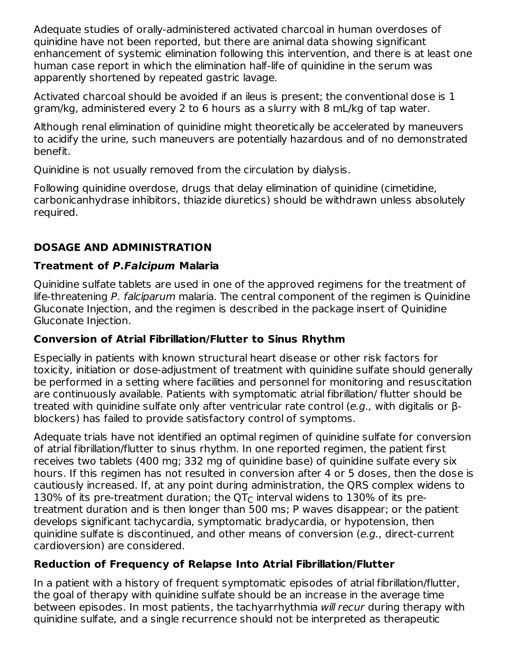Adequate studies of orally-administered activated charcoal in human overdoses of quinidine have not been reported, but there are animal data showing significant enhancement of systemic elimination following this intervention, and there is at least one human case report in which the elimination half-life of quinidine in the serum was apparently shortened by repeated gastric lavage.

Activated charcoal should be avoided if an ileus is present; the conventional dose is 1 gram/kg, administered every 2 to 6 hours as a slurry with 8 mL/kg of tap water.

Although renal elimination of quinidine might theoretically be accelerated by maneuvers to acidify the urine, such maneuvers are potentially hazardous and of no demonstrated benefit.

Quinidine is not usually removed from the circulation by dialysis.

Following quinidine overdose, drugs that delay elimination of quinidine (cimetidine, carbonicanhydrase inhibitors, thiazide diuretics) should be withdrawn unless absolutely required.

## **DOSAGE AND ADMINISTRATION**

## **Treatment of P.Falcipum Malaria**

Quinidine sulfate tablets are used in one of the approved regimens for the treatment of life-threatening P. falciparum malaria. The central component of the regimen is Quinidine Gluconate Injection, and the regimen is described in the package insert of Quinidine Gluconate Injection.

## **Conversion of Atrial Fibrillation/Flutter to Sinus Rhythm**

Especially in patients with known structural heart disease or other risk factors for toxicity, initiation or dose-adjustment of treatment with quinidine sulfate should generally be performed in a setting where facilities and personnel for monitoring and resuscitation are continuously available. Patients with symptomatic atrial fibrillation/ flutter should be treated with quinidine sulfate only after ventricular rate control (e.g., with digitalis or βblockers) has failed to provide satisfactory control of symptoms.

Adequate trials have not identified an optimal regimen of quinidine sulfate for conversion of atrial fibrillation/flutter to sinus rhythm. In one reported regimen, the patient first receives two tablets (400 mg; 332 mg of quinidine base) of quinidine sulfate every six hours. If this regimen has not resulted in conversion after 4 or 5 doses, then the dose is cautiously increased. If, at any point during administration, the QRS complex widens to 130% of its pre-treatment duration; the QT $_{\rm C}$  interval widens to 130% of its pretreatment duration and is then longer than 500 ms; P waves disappear; or the patient develops significant tachycardia, symptomatic bradycardia, or hypotension, then quinidine sulfate is discontinued, and other means of conversion (e.g., direct-current cardioversion) are considered.

## **Reduction of Frequency of Relapse Into Atrial Fibrillation/Flutter**

In a patient with a history of frequent symptomatic episodes of atrial fibrillation/flutter, the goal of therapy with quinidine sulfate should be an increase in the average time between episodes. In most patients, the tachyarrhythmia will recur during therapy with quinidine sulfate, and a single recurrence should not be interpreted as therapeutic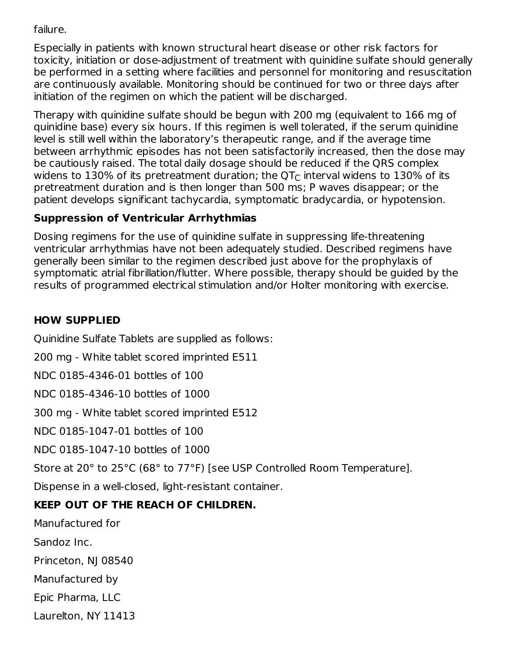failure.

Especially in patients with known structural heart disease or other risk factors for toxicity, initiation or dose-adjustment of treatment with quinidine sulfate should generally be performed in a setting where facilities and personnel for monitoring and resuscitation are continuously available. Monitoring should be continued for two or three days after initiation of the regimen on which the patient will be discharged.

Therapy with quinidine sulfate should be begun with 200 mg (equivalent to 166 mg of quinidine base) every six hours. If this regimen is well tolerated, if the serum quinidine level is still well within the laboratory's therapeutic range, and if the average time between arrhythmic episodes has not been satisfactorily increased, then the dose may be cautiously raised. The total daily dosage should be reduced if the QRS complex widens to 130% of its pretreatment duration; the QT $_{\rm C}$  interval widens to 130% of its pretreatment duration and is then longer than 500 ms; P waves disappear; or the patient develops significant tachycardia, symptomatic bradycardia, or hypotension.

## **Suppression of Ventricular Arrhythmias**

Dosing regimens for the use of quinidine sulfate in suppressing life-threatening ventricular arrhythmias have not been adequately studied. Described regimens have generally been similar to the regimen described just above for the prophylaxis of symptomatic atrial fibrillation/flutter. Where possible, therapy should be guided by the results of programmed electrical stimulation and/or Holter monitoring with exercise.

## **HOW SUPPLIED**

Quinidine Sulfate Tablets are supplied as follows:

200 mg - White tablet scored imprinted E511

NDC 0185-4346-01 bottles of 100

NDC 0185-4346-10 bottles of 1000

300 mg - White tablet scored imprinted E512

NDC 0185-1047-01 bottles of 100

NDC 0185-1047-10 bottles of 1000

Store at 20° to 25°C (68° to 77°F) [see USP Controlled Room Temperature].

Dispense in a well-closed, light-resistant container.

# **KEEP OUT OF THE REACH OF CHILDREN.**

Manufactured for

Sandoz Inc.

Princeton, NJ 08540

Manufactured by

Epic Pharma, LLC

Laurelton, NY 11413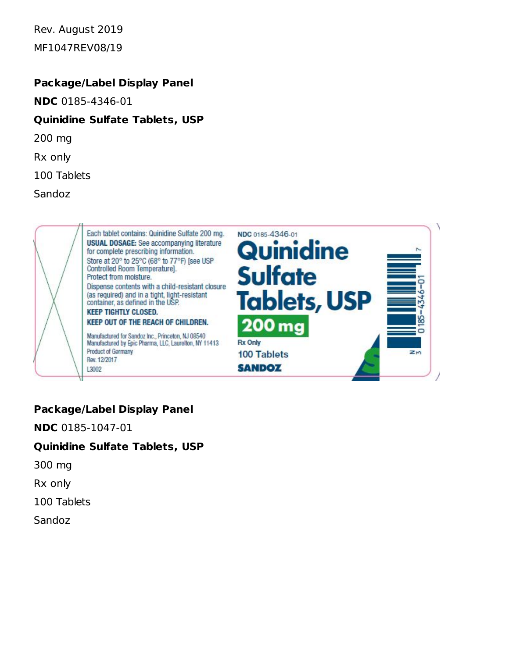Rev. August 2019 MF1047REV08/19

#### **Package/Label Display Panel**

**NDC** 0185-4346-01

#### **Quinidine Sulfate Tablets, USP**

200 mg

Rx only

100 Tablets

Sandoz



### **Package/Label Display Panel**

**NDC** 0185-1047-01

#### **Quinidine Sulfate Tablets, USP**

300 mg

Rx only

100 Tablets

Sandoz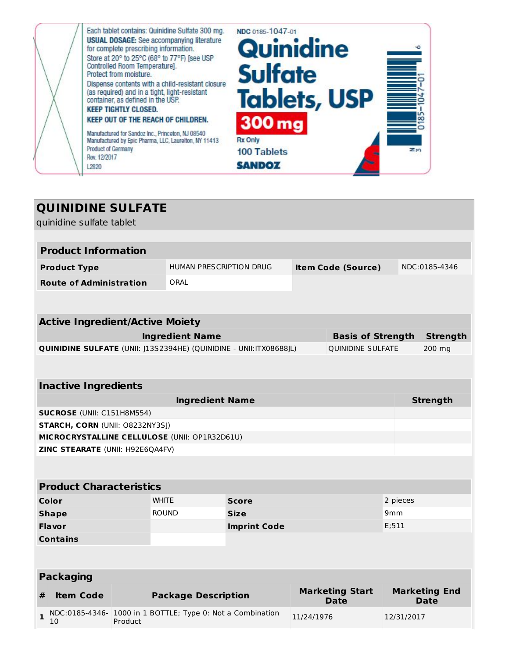

### **QUINIDINE SULFATE**

quinidine sulfate tablet

|                                | quiniquite suitate tablet                                        |                             |                            |                     |                                                                    |                           |                                       |            |                                     |
|--------------------------------|------------------------------------------------------------------|-----------------------------|----------------------------|---------------------|--------------------------------------------------------------------|---------------------------|---------------------------------------|------------|-------------------------------------|
|                                |                                                                  |                             |                            |                     |                                                                    |                           |                                       |            |                                     |
| <b>Product Information</b>     |                                                                  |                             |                            |                     |                                                                    |                           |                                       |            |                                     |
|                                | <b>Product Type</b>                                              |                             |                            |                     | <b>HUMAN PRESCRIPTION DRUG</b>                                     | <b>Item Code (Source)</b> |                                       |            | NDC:0185-4346                       |
|                                | <b>Route of Administration</b>                                   |                             | ORAL                       |                     |                                                                    |                           |                                       |            |                                     |
|                                |                                                                  |                             |                            |                     |                                                                    |                           |                                       |            |                                     |
|                                | <b>Active Ingredient/Active Moiety</b>                           |                             |                            |                     |                                                                    |                           |                                       |            |                                     |
|                                |                                                                  |                             | <b>Ingredient Name</b>     |                     |                                                                    |                           | <b>Basis of Strength</b>              |            | <b>Strength</b>                     |
|                                |                                                                  |                             |                            |                     | QUINIDINE SULFATE (UNII: J13S2394HE) (QUINIDINE - UNII:ITX08688JL) |                           | <b>QUINIDINE SULFATE</b>              |            | 200 mg                              |
|                                |                                                                  |                             |                            |                     |                                                                    |                           |                                       |            |                                     |
|                                |                                                                  |                             |                            |                     |                                                                    |                           |                                       |            |                                     |
| <b>Inactive Ingredients</b>    |                                                                  |                             |                            |                     |                                                                    |                           |                                       |            |                                     |
| <b>Ingredient Name</b>         |                                                                  |                             |                            |                     |                                                                    | <b>Strength</b>           |                                       |            |                                     |
|                                | SUCROSE (UNII: C151H8M554)                                       |                             |                            |                     |                                                                    |                           |                                       |            |                                     |
|                                | STARCH, CORN (UNII: O8232NY3SJ)                                  |                             |                            |                     |                                                                    |                           |                                       |            |                                     |
|                                | MICROCRYSTALLINE CELLULOSE (UNII: OP1R32D61U)                    |                             |                            |                     |                                                                    |                           |                                       |            |                                     |
|                                | ZINC STEARATE (UNII: H92E6QA4FV)                                 |                             |                            |                     |                                                                    |                           |                                       |            |                                     |
|                                |                                                                  |                             |                            |                     |                                                                    |                           |                                       |            |                                     |
| <b>Product Characteristics</b> |                                                                  |                             |                            |                     |                                                                    |                           |                                       |            |                                     |
|                                | Color                                                            |                             | <b>WHITE</b>               |                     | <b>Score</b>                                                       |                           |                                       | 2 pieces   |                                     |
|                                | <b>Shape</b>                                                     | <b>ROUND</b><br><b>Size</b> |                            | 9mm                 |                                                                    |                           |                                       |            |                                     |
|                                | Flavor                                                           |                             |                            | <b>Imprint Code</b> |                                                                    |                           | E;511                                 |            |                                     |
|                                | <b>Contains</b>                                                  |                             |                            |                     |                                                                    |                           |                                       |            |                                     |
|                                |                                                                  |                             |                            |                     |                                                                    |                           |                                       |            |                                     |
|                                |                                                                  |                             |                            |                     |                                                                    |                           |                                       |            |                                     |
| <b>Packaging</b>               |                                                                  |                             |                            |                     |                                                                    |                           |                                       |            |                                     |
| #                              | <b>Item Code</b>                                                 |                             | <b>Package Description</b> |                     |                                                                    |                           | <b>Marketing Start</b><br><b>Date</b> |            | <b>Marketing End</b><br><b>Date</b> |
| $\mathbf{1}$                   | NDC:0185-4346- 1000 in 1 BOTTLE; Type 0: Not a Combination<br>10 | Product                     |                            |                     |                                                                    | 11/24/1976                |                                       | 12/31/2017 |                                     |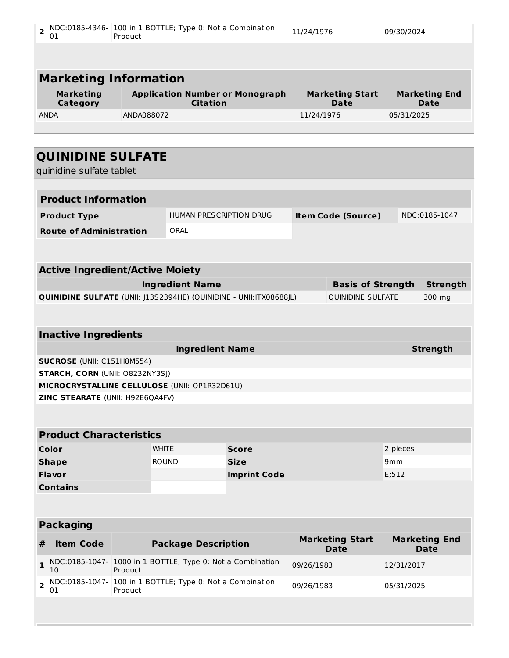| $\overline{2}$<br>01                                                      | NDC:0185-4346- 100 in 1 BOTTLE; Type 0: Not a Combination<br>Product                    |                                                            |                     | 11/24/1976                                           | 09/30/2024                          |                                     |  |
|---------------------------------------------------------------------------|-----------------------------------------------------------------------------------------|------------------------------------------------------------|---------------------|------------------------------------------------------|-------------------------------------|-------------------------------------|--|
|                                                                           |                                                                                         |                                                            |                     |                                                      |                                     |                                     |  |
|                                                                           |                                                                                         |                                                            |                     |                                                      |                                     |                                     |  |
| <b>Marketing Information</b>                                              |                                                                                         |                                                            |                     |                                                      |                                     |                                     |  |
| <b>Marketing</b><br>Category                                              |                                                                                         | <b>Application Number or Monograph</b><br><b>Citation</b>  |                     | <b>Marketing Start</b><br><b>Date</b>                | <b>Marketing End</b><br><b>Date</b> |                                     |  |
| <b>ANDA</b>                                                               | ANDA088072                                                                              |                                                            |                     | 11/24/1976                                           | 05/31/2025                          |                                     |  |
|                                                                           |                                                                                         |                                                            |                     |                                                      |                                     |                                     |  |
|                                                                           |                                                                                         |                                                            |                     |                                                      |                                     |                                     |  |
| <b>QUINIDINE SULFATE</b>                                                  |                                                                                         |                                                            |                     |                                                      |                                     |                                     |  |
| quinidine sulfate tablet                                                  |                                                                                         |                                                            |                     |                                                      |                                     |                                     |  |
|                                                                           |                                                                                         |                                                            |                     |                                                      |                                     |                                     |  |
| <b>Product Information</b>                                                |                                                                                         |                                                            |                     |                                                      |                                     |                                     |  |
| <b>Product Type</b>                                                       |                                                                                         | <b>HUMAN PRESCRIPTION DRUG</b>                             |                     | <b>Item Code (Source)</b>                            |                                     | NDC:0185-1047                       |  |
| <b>Route of Administration</b>                                            |                                                                                         | ORAL                                                       |                     |                                                      |                                     |                                     |  |
|                                                                           |                                                                                         |                                                            |                     |                                                      |                                     |                                     |  |
|                                                                           |                                                                                         |                                                            |                     |                                                      |                                     |                                     |  |
| <b>Active Ingredient/Active Moiety</b>                                    |                                                                                         | <b>Ingredient Name</b>                                     |                     |                                                      |                                     |                                     |  |
| <b>QUINIDINE SULFATE</b> (UNII: J13S2394HE) (QUINIDINE - UNII:ITX08688JL) |                                                                                         |                                                            |                     | <b>Basis of Strength</b><br><b>QUINIDINE SULFATE</b> |                                     | <b>Strength</b><br>300 mg           |  |
|                                                                           |                                                                                         |                                                            |                     |                                                      |                                     |                                     |  |
|                                                                           |                                                                                         |                                                            |                     |                                                      |                                     |                                     |  |
| <b>Inactive Ingredients</b>                                               |                                                                                         |                                                            |                     |                                                      |                                     |                                     |  |
|                                                                           |                                                                                         | <b>Ingredient Name</b>                                     |                     |                                                      |                                     | <b>Strength</b>                     |  |
| <b>SUCROSE</b> (UNII: C151H8M554)                                         |                                                                                         |                                                            |                     |                                                      |                                     |                                     |  |
|                                                                           | <b>STARCH, CORN (UNII: O8232NY3SI)</b><br>MICROCRYSTALLINE CELLULOSE (UNII: OP1R32D61U) |                                                            |                     |                                                      |                                     |                                     |  |
| ZINC STEARATE (UNII: H92E6QA4FV)                                          |                                                                                         |                                                            |                     |                                                      |                                     |                                     |  |
|                                                                           |                                                                                         |                                                            |                     |                                                      |                                     |                                     |  |
|                                                                           |                                                                                         |                                                            |                     |                                                      |                                     |                                     |  |
| <b>Product Characteristics</b>                                            |                                                                                         |                                                            |                     |                                                      |                                     |                                     |  |
| <b>Color</b>                                                              |                                                                                         | <b>WHITE</b>                                               | <b>Score</b>        |                                                      | 2 pieces                            |                                     |  |
| <b>Shape</b>                                                              |                                                                                         | <b>ROUND</b>                                               | <b>Size</b>         |                                                      | 9 <sub>mm</sub>                     |                                     |  |
| <b>Flavor</b>                                                             |                                                                                         |                                                            | <b>Imprint Code</b> |                                                      | E;512                               |                                     |  |
|                                                                           |                                                                                         |                                                            |                     |                                                      |                                     |                                     |  |
| <b>Contains</b>                                                           |                                                                                         |                                                            |                     |                                                      |                                     |                                     |  |
|                                                                           |                                                                                         |                                                            |                     |                                                      |                                     |                                     |  |
| <b>Packaging</b>                                                          |                                                                                         |                                                            |                     |                                                      |                                     |                                     |  |
| <b>Item Code</b><br>#                                                     |                                                                                         | <b>Package Description</b>                                 |                     | <b>Marketing Start</b><br><b>Date</b>                |                                     | <b>Marketing End</b><br><b>Date</b> |  |
| $\mathbf{1}$<br>10                                                        | Product                                                                                 | NDC:0185-1047- 1000 in 1 BOTTLE; Type 0: Not a Combination |                     | 09/26/1983                                           | 12/31/2017                          |                                     |  |
| $\overline{2}$<br>01                                                      | Product                                                                                 | NDC:0185-1047- 100 in 1 BOTTLE; Type 0: Not a Combination  |                     | 09/26/1983                                           | 05/31/2025                          |                                     |  |
|                                                                           |                                                                                         |                                                            |                     |                                                      |                                     |                                     |  |